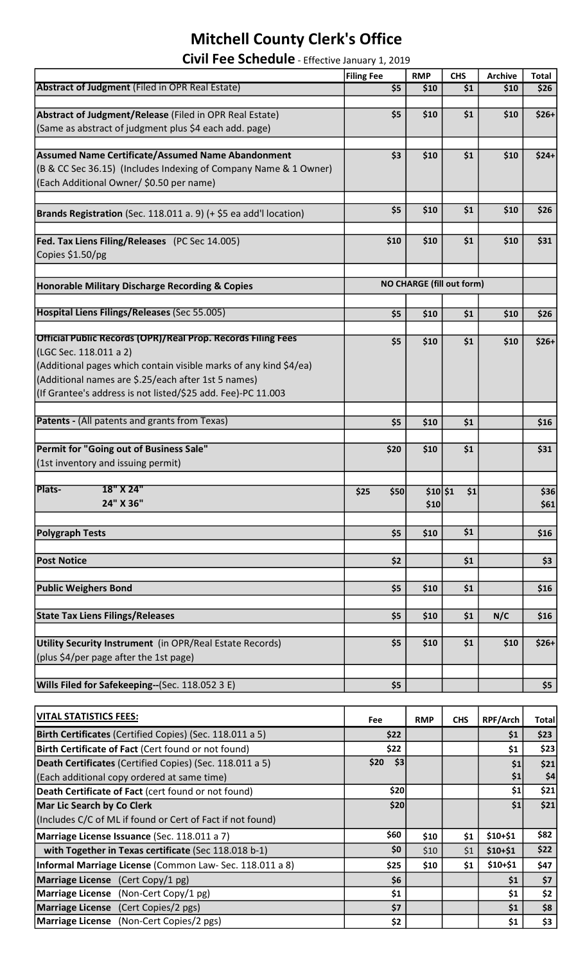## Mitchell County Clerk's Office

| Civil Fee Schedule - Effective January 1, 2019 |  |
|------------------------------------------------|--|
|------------------------------------------------|--|

|                                                                     | <b>Filing Fee</b>                | <b>RMP</b> | <b>CHS</b> | <b>Archive</b> | <b>Total</b> |
|---------------------------------------------------------------------|----------------------------------|------------|------------|----------------|--------------|
| <b>Abstract of Judgment</b> (Filed in OPR Real Estate)              | \$5                              | \$10       | \$1        | \$10           | \$26         |
|                                                                     |                                  |            |            |                |              |
| Abstract of Judgment/Release (Filed in OPR Real Estate)             | \$5                              | \$10       | \$1        | \$10           | $$26+$       |
| (Same as abstract of judgment plus \$4 each add. page)              |                                  |            |            |                |              |
|                                                                     |                                  |            |            |                |              |
| Assumed Name Certificate/Assumed Name Abandonment                   | \$3                              | \$10       | \$1        | \$10           | $$24+$       |
|                                                                     |                                  |            |            |                |              |
| (B & CC Sec 36.15) (Includes Indexing of Company Name & 1 Owner)    |                                  |            |            |                |              |
| (Each Additional Owner/ \$0.50 per name)                            |                                  |            |            |                |              |
|                                                                     |                                  |            |            |                |              |
| Brands Registration (Sec. 118.011 a. 9) (+ \$5 ea add'l location)   | \$5                              | \$10       | \$1        | \$10           | \$26         |
|                                                                     |                                  |            |            |                |              |
| Fed. Tax Liens Filing/Releases (PC Sec 14.005)                      | \$10                             | \$10       | \$1        | \$10           | \$31         |
| Copies \$1.50/pg                                                    |                                  |            |            |                |              |
|                                                                     |                                  |            |            |                |              |
| Honorable Military Discharge Recording & Copies                     | <b>NO CHARGE (fill out form)</b> |            |            |                |              |
|                                                                     |                                  |            |            |                |              |
| Hospital Liens Filings/Releases (Sec 55.005)                        |                                  |            |            |                |              |
|                                                                     | \$5                              | \$10       | \$1        | \$10           | \$26         |
| <b>Official Public Records (OPR)/Real Prop. Records Filing Fees</b> |                                  |            |            |                |              |
| (LGC Sec. 118.011 a 2)                                              | \$5                              | \$10       | \$1        | \$10           | $$26+$       |
|                                                                     |                                  |            |            |                |              |
| (Additional pages which contain visible marks of any kind \$4/ea)   |                                  |            |            |                |              |
| (Additional names are \$.25/each after 1st 5 names)                 |                                  |            |            |                |              |
| (If Grantee's address is not listed/\$25 add. Fee)-PC 11.003        |                                  |            |            |                |              |
|                                                                     |                                  |            |            |                |              |
| <b>Patents - (All patents and grants from Texas)</b>                | \$5                              | \$10       | \$1        |                | \$16         |
|                                                                     |                                  |            |            |                |              |
| Permit for "Going out of Business Sale"                             | \$20                             | \$10       | \$1        |                | \$31         |
| (1st inventory and issuing permit)                                  |                                  |            |            |                |              |
|                                                                     |                                  |            |            |                |              |
| Plats-<br>18" X 24"                                                 | \$25<br>\$50                     | \$10 \$1   | \$1        |                | \$36         |
| 24" X 36"                                                           |                                  | \$10       |            |                | \$61         |
|                                                                     |                                  |            |            |                |              |
| <b>Polygraph Tests</b>                                              | \$5                              | \$10       | \$1        |                | \$16         |
|                                                                     |                                  |            |            |                |              |
| <b>Post Notice</b>                                                  | \$2                              |            | \$1        |                | \$3          |
|                                                                     |                                  |            |            |                |              |
| <b>Public Weighers Bond</b>                                         | \$5                              | \$10       | \$1        |                | \$16         |
|                                                                     |                                  |            |            |                |              |
| <b>State Tax Liens Filings/Releases</b>                             | \$5                              | \$10       | \$1        | N/C            | \$16         |
|                                                                     |                                  |            |            |                |              |
| Utility Security Instrument (in OPR/Real Estate Records)            | \$5                              | \$10       | \$1        | \$10           | $$26+$       |
| (plus \$4/per page after the 1st page)                              |                                  |            |            |                |              |
|                                                                     |                                  |            |            |                |              |
| <b>Wills Filed for Safekeeping--(Sec. 118.052 3 E)</b>              | \$5                              |            |            |                | \$5          |
|                                                                     |                                  |            |            |                |              |
|                                                                     |                                  |            |            |                |              |
| <b>VITAL STATISTICS FEES:</b>                                       | Fee                              | <b>RMP</b> | <b>CHS</b> | RPF/Arch       | <b>Total</b> |
| Birth Certificates (Certified Copies) (Sec. 118.011 a 5)            | \$22                             |            |            | \$1            | \$23         |
| Birth Certificate of Fact (Cert found or not found)                 | \$22                             |            |            | \$1            | \$23         |
| Death Certificates (Certified Copies) (Sec. 118.011 a 5)            | \$20<br>\$3                      |            |            | \$1            | \$21         |
| (Each additional copy ordered at same time)                         |                                  |            |            | \$1            | \$4          |
| Death Certificate of Fact (cert found or not found)                 | \$20                             |            |            | \$1            | \$21         |
| Mar Lic Search by Co Clerk                                          | \$20                             |            |            | \$1            | \$21         |
|                                                                     |                                  |            |            |                |              |
| (Includes C/C of ML if found or Cert of Fact if not found)          |                                  |            |            |                |              |
| Marriage License Issuance (Sec. 118.011 a 7)                        | \$60                             | \$10       | \$1        | \$10+\$1       | \$82         |
| with Together in Texas certificate (Sec 118.018 b-1)                | \$0                              | \$10       | \$1        | \$10+\$1       | \$22         |

Informal Marriage License (Common Law- Sec. 118.011 a 8) \$25 \$10 \$1 \$10+\$1 \$47 Marriage License  $(Cert Copy/1 pg)$  \$1 \$7 Marriage License (Non-Cert Copy/1 pg) \$1 \$1 \$2

Marriage License (Cert Copies/2 pgs) 57 57 51 \$8<br>
Marriage License (Non-Cert Copies/2 pgs) 52 52 51 \$3 Marriage License (Non-Cert Copies/2 pgs) \$2 \$1 \$3